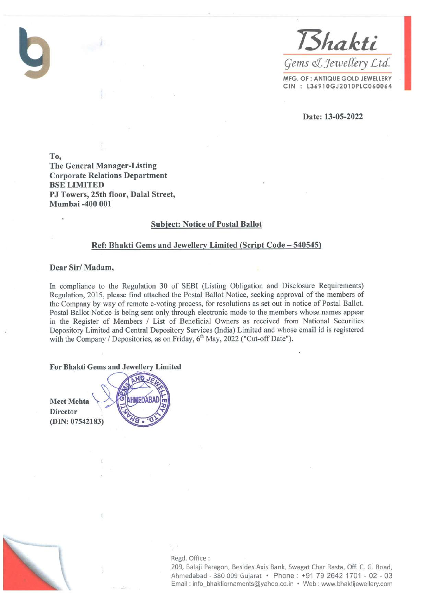

Date: 13-05-2022

To. **The General Manager-Listing Corporate Relations Department BSE LIMITED** PJ Towers, 25th floor, Dalal Street, Mumbai -400 001

#### **Subject: Notice of Postal Ballot**

#### Ref: Bhakti Gems and Jewellery Limited (Script Code - 540545)

#### Dear Sir/Madam,

In compliance to the Regulation 30 of SEBI (Listing Obligation and Disclosure Requirements) Regulation, 2015, please find attached the Postal Ballot Notice, seeking approval of the members of the Company by way of remote e-voting process, for resolutions as set out in notice of Postal Ballot. Postal Ballot Notice is being sent only through electronic mode to the members whose names appear in the Register of Members / List of Beneficial Owners as received from National Securities Depository Limited and Central Depository Services (India) Limited and whose email id is registered with the Company / Depositories, as on Friday, 6<sup>th</sup> May, 2022 ("Cut-off Date").

For Bhakti Gems and Jewellery Limited

**Meet Mehta Director** (DIN: 07542183)





#### Regd. Office:

209, Balaji Paragon, Besides Axis Bank, Swagat Char Rasta, Off. C. G. Road, Ahmedabad - 380 009 Gujarat · Phone: +91 79 2642 1701 - 02 - 03 Email: info bhaktiornaments@yahoo.co.in • Web: www.bhaktijewellery.com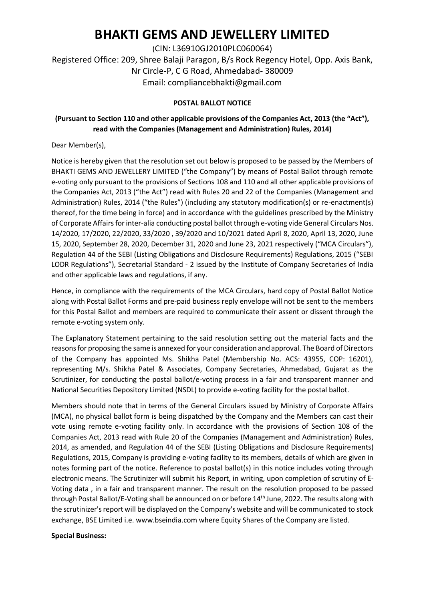(CIN: L36910GJ2010PLC060064) Registered Office: 209, Shree Balaji Paragon, B/s Rock Regency Hotel, Opp. Axis Bank, Nr Circle-P, C G Road, Ahmedabad- 380009 Email: compliancebhakti@gmail.com

### **POSTAL BALLOT NOTICE**

### **(Pursuant to Section 110 and other applicable provisions of the Companies Act, 2013 (the "Act"), read with the Companies (Management and Administration) Rules, 2014)**

Dear Member(s),

Notice is hereby given that the resolution set out below is proposed to be passed by the Members of BHAKTI GEMS AND JEWELLERY LIMITED ("the Company") by means of Postal Ballot through remote e-voting only pursuant to the provisions of Sections 108 and 110 and all other applicable provisions of the Companies Act, 2013 ("the Act") read with Rules 20 and 22 of the Companies (Management and Administration) Rules, 2014 ("the Rules") (including any statutory modification(s) or re-enactment(s) thereof, for the time being in force) and in accordance with the guidelines prescribed by the Ministry of Corporate Affairs for inter-alia conducting postal ballot through e-voting vide General Circulars Nos. 14/2020, 17/2020, 22/2020, 33/2020 , 39/2020 and 10/2021 dated April 8, 2020, April 13, 2020, June 15, 2020, September 28, 2020, December 31, 2020 and June 23, 2021 respectively ("MCA Circulars"), Regulation 44 of the SEBI (Listing Obligations and Disclosure Requirements) Regulations, 2015 ("SEBI LODR Regulations"), Secretarial Standard - 2 issued by the Institute of Company Secretaries of India and other applicable laws and regulations, if any.

Hence, in compliance with the requirements of the MCA Circulars, hard copy of Postal Ballot Notice along with Postal Ballot Forms and pre-paid business reply envelope will not be sent to the members for this Postal Ballot and members are required to communicate their assent or dissent through the remote e-voting system only.

The Explanatory Statement pertaining to the said resolution setting out the material facts and the reasons for proposing the same is annexed for your consideration and approval. The Board of Directors of the Company has appointed Ms. Shikha Patel (Membership No. ACS: 43955, COP: 16201), representing M/s. Shikha Patel & Associates, Company Secretaries, Ahmedabad, Gujarat as the Scrutinizer, for conducting the postal ballot/e-voting process in a fair and transparent manner and National Securities Depository Limited (NSDL) to provide e-voting facility for the postal ballot.

Members should note that in terms of the General Circulars issued by Ministry of Corporate Affairs (MCA), no physical ballot form is being dispatched by the Company and the Members can cast their vote using remote e-voting facility only. In accordance with the provisions of Section 108 of the Companies Act, 2013 read with Rule 20 of the Companies (Management and Administration) Rules, 2014, as amended, and Regulation 44 of the SEBI (Listing Obligations and Disclosure Requirements) Regulations, 2015, Company is providing e-voting facility to its members, details of which are given in notes forming part of the notice. Reference to postal ballot(s) in this notice includes voting through electronic means. The Scrutinizer will submit his Report, in writing, upon completion of scrutiny of E-Voting data , in a fair and transparent manner. The result on the resolution proposed to be passed through Postal Ballot/E-Voting shall be announced on or before 14<sup>th</sup> June, 2022. The results along with the scrutinizer's report will be displayed on the Company's website and will be communicated to stock exchange, BSE Limited i.e. www.bseindia.com where Equity Shares of the Company are listed.

### **Special Business:**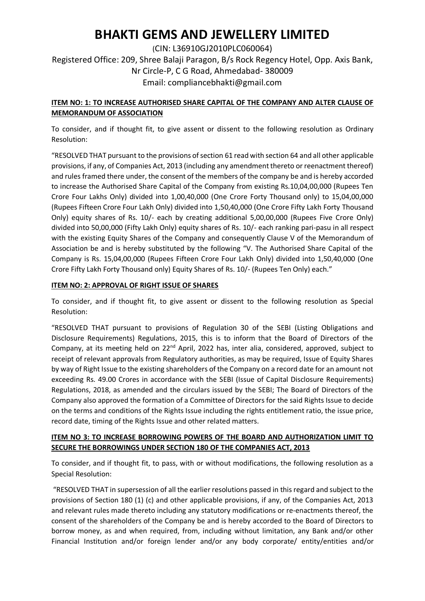(CIN: L36910GJ2010PLC060064) Registered Office: 209, Shree Balaji Paragon, B/s Rock Regency Hotel, Opp. Axis Bank, Nr Circle-P, C G Road, Ahmedabad- 380009 Email: compliancebhakti@gmail.com

### **ITEM NO: 1: TO INCREASE AUTHORISED SHARE CAPITAL OF THE COMPANY AND ALTER CLAUSE OF MEMORANDUM OF ASSOCIATION**

To consider, and if thought fit, to give assent or dissent to the following resolution as Ordinary Resolution:

"RESOLVED THAT pursuant to the provisions of section 61 read with section 64 and all other applicable provisions, if any, of Companies Act, 2013 (including any amendment thereto or reenactment thereof) and rules framed there under, the consent of the members of the company be and is hereby accorded to increase the Authorised Share Capital of the Company from existing Rs.10,04,00,000 (Rupees Ten Crore Four Lakhs Only) divided into 1,00,40,000 (One Crore Forty Thousand only) to 15,04,00,000 (Rupees Fifteen Crore Four Lakh Only) divided into 1,50,40,000 (One Crore Fifty Lakh Forty Thousand Only) equity shares of Rs. 10/- each by creating additional 5,00,00,000 (Rupees Five Crore Only) divided into 50,00,000 (Fifty Lakh Only) equity shares of Rs. 10/- each ranking pari-pasu in all respect with the existing Equity Shares of the Company and consequently Clause V of the Memorandum of Association be and is hereby substituted by the following "V. The Authorised Share Capital of the Company is Rs. 15,04,00,000 (Rupees Fifteen Crore Four Lakh Only) divided into 1,50,40,000 (One Crore Fifty Lakh Forty Thousand only) Equity Shares of Rs. 10/- (Rupees Ten Only) each."

### **ITEM NO: 2: APPROVAL OF RIGHT ISSUE OF SHARES**

To consider, and if thought fit, to give assent or dissent to the following resolution as Special Resolution:

"RESOLVED THAT pursuant to provisions of Regulation 30 of the SEBI (Listing Obligations and Disclosure Requirements) Regulations, 2015, this is to inform that the Board of Directors of the Company, at its meeting held on 22<sup>nd</sup> April, 2022 has, inter alia, considered, approved, subject to receipt of relevant approvals from Regulatory authorities, as may be required, Issue of Equity Shares by way of Right Issue to the existing shareholders of the Company on a record date for an amount not exceeding Rs. 49.00 Crores in accordance with the SEBI (Issue of Capital Disclosure Requirements) Regulations, 2018, as amended and the circulars issued by the SEBI; The Board of Directors of the Company also approved the formation of a Committee of Directors for the said Rights Issue to decide on the terms and conditions of the Rights Issue including the rights entitlement ratio, the issue price, record date, timing of the Rights Issue and other related matters.

### **ITEM NO 3: TO INCREASE BORROWING POWERS OF THE BOARD AND AUTHORIZATION LIMIT TO SECURE THE BORROWINGS UNDER SECTION 180 OF THE COMPANIES ACT, 2013**

To consider, and if thought fit, to pass, with or without modifications, the following resolution as a Special Resolution:

"RESOLVED THAT in supersession of all the earlier resolutions passed in this regard and subject to the provisions of Section 180 (1) (c) and other applicable provisions, if any, of the Companies Act, 2013 and relevant rules made thereto including any statutory modifications or re-enactments thereof, the consent of the shareholders of the Company be and is hereby accorded to the Board of Directors to borrow money, as and when required, from, including without limitation, any Bank and/or other Financial Institution and/or foreign lender and/or any body corporate/ entity/entities and/or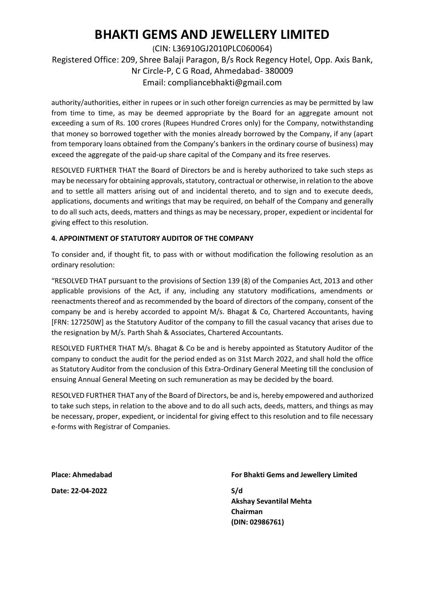## (CIN: L36910GJ2010PLC060064) Registered Office: 209, Shree Balaji Paragon, B/s Rock Regency Hotel, Opp. Axis Bank, Nr Circle-P, C G Road, Ahmedabad- 380009 Email: compliancebhakti@gmail.com

authority/authorities, either in rupees or in such other foreign currencies as may be permitted by law from time to time, as may be deemed appropriate by the Board for an aggregate amount not exceeding a sum of Rs. 100 crores (Rupees Hundred Crores only) for the Company, notwithstanding that money so borrowed together with the monies already borrowed by the Company, if any (apart from temporary loans obtained from the Company's bankers in the ordinary course of business) may exceed the aggregate of the paid‐up share capital of the Company and its free reserves.

RESOLVED FURTHER THAT the Board of Directors be and is hereby authorized to take such steps as may be necessary for obtaining approvals, statutory, contractual or otherwise, in relation to the above and to settle all matters arising out of and incidental thereto, and to sign and to execute deeds, applications, documents and writings that may be required, on behalf of the Company and generally to do all such acts, deeds, matters and things as may be necessary, proper, expedient or incidental for giving effect to this resolution.

### **4. APPOINTMENT OF STATUTORY AUDITOR OF THE COMPANY**

To consider and, if thought fit, to pass with or without modification the following resolution as an ordinary resolution:

"RESOLVED THAT pursuant to the provisions of Section 139 (8) of the Companies Act, 2013 and other applicable provisions of the Act, if any, including any statutory modifications, amendments or reenactments thereof and as recommended by the board of directors of the company, consent of the company be and is hereby accorded to appoint M/s. Bhagat & Co, Chartered Accountants, having [FRN: 127250W] as the Statutory Auditor of the company to fill the casual vacancy that arises due to the resignation by M/s. Parth Shah & Associates, Chartered Accountants.

RESOLVED FURTHER THAT M/s. Bhagat & Co be and is hereby appointed as Statutory Auditor of the company to conduct the audit for the period ended as on 31st March 2022, and shall hold the office as Statutory Auditor from the conclusion of this Extra-Ordinary General Meeting till the conclusion of ensuing Annual General Meeting on such remuneration as may be decided by the board.

RESOLVED FURTHER THAT any of the Board of Directors, be and is, hereby empowered and authorized to take such steps, in relation to the above and to do all such acts, deeds, matters, and things as may be necessary, proper, expedient, or incidental for giving effect to this resolution and to file necessary e-forms with Registrar of Companies.

**Date: 22-04-2022 S/d**

**Place: Ahmedabad For Bhakti Gems and Jewellery Limited**

**Akshay Sevantilal Mehta Chairman (DIN: 02986761)**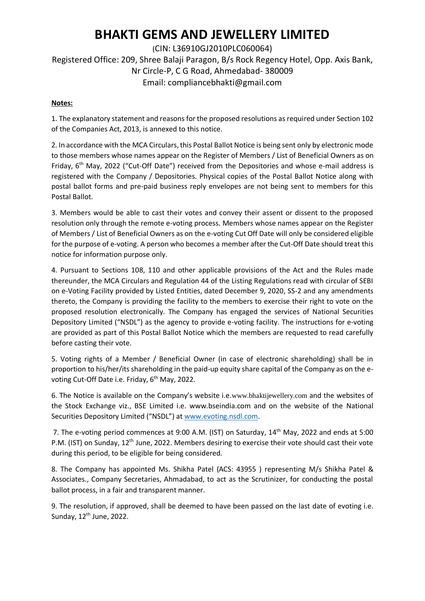(CIN: L36910GJ2010PLC060064) Registered Office: 209, Shree Balaji Paragon, B/s Rock Regency Hotel, Opp. Axis Bank, Nr Circle-P, C G Road, Ahmedabad- 380009 Email: compliancebhakti@gmail.com

### **Notes:**

1. The explanatory statement and reasons for the proposed resolutions as required under Section 102 of the Companies Act, 2013, is annexed to this notice.

2. In accordance with the MCA Circulars, this Postal Ballot Notice is being sent only by electronic mode to those members whose names appear on the Register of Members / List of Beneficial Owners as on Friday, 6th May, 2022 ("Cut-Off Date") received from the Depositories and whose e-mail address is registered with the Company / Depositories. Physical copies of the Postal Ballot Notice along with postal ballot forms and pre-paid business reply envelopes are not being sent to members for this Postal Ballot.

3. Members would be able to cast their votes and convey their assent or dissent to the proposed resolution only through the remote e-voting process. Members whose names appear on the Register of Members / List of Beneficial Owners as on the e-voting Cut Off Date will only be considered eligible for the purpose of e-voting. A person who becomes a member after the Cut-Off Date should treat this notice for information purpose only.

4. Pursuant to Sections 108, 110 and other applicable provisions of the Act and the Rules made thereunder, the MCA Circulars and Regulation 44 of the Listing Regulations read with circular of SEBI on e-Voting Facility provided by Listed Entities, dated December 9, 2020, SS-2 and any amendments thereto, the Company is providing the facility to the members to exercise their right to vote on the proposed resolution electronically. The Company has engaged the services of National Securities Depository Limited ("NSDL") as the agency to provide e-voting facility. The instructions for e-voting are provided as part of this Postal Ballot Notice which the members are requested to read carefully before casting their vote.

5. Voting rights of a Member / Beneficial Owner (in case of electronic shareholding) shall be in proportion to his/her/its shareholding in the paid-up equity share capital of the Company as on the evoting Cut-Off Date i.e. Friday, 6<sup>th</sup> May, 2022.

6. The Notice is available on the Company's website i.e.www.bhaktijewellery.com and the websites of the Stock Exchange viz., BSE Limited i.e. www.bseindia.com and on the website of the National Securities Depository Limited ("NSDL") at [www.evoting.nsdl.com.](http://www.evoting.nsdl.com/)

7. The e-voting period commences at 9:00 A.M. (IST) on Saturday, 14<sup>th</sup> May, 2022 and ends at 5:00 P.M. (IST) on Sunday, 12<sup>th</sup> June, 2022. Members desiring to exercise their vote should cast their vote during this period, to be eligible for being considered.

8. The Company has appointed Ms. Shikha Patel (ACS: 43955 ) representing M/s Shikha Patel & Associates., Company Secretaries, Ahmadabad, to act as the Scrutinizer, for conducting the postal ballot process, in a fair and transparent manner.

9. The resolution, if approved, shall be deemed to have been passed on the last date of evoting i.e. Sunday, 12<sup>th</sup> June, 2022.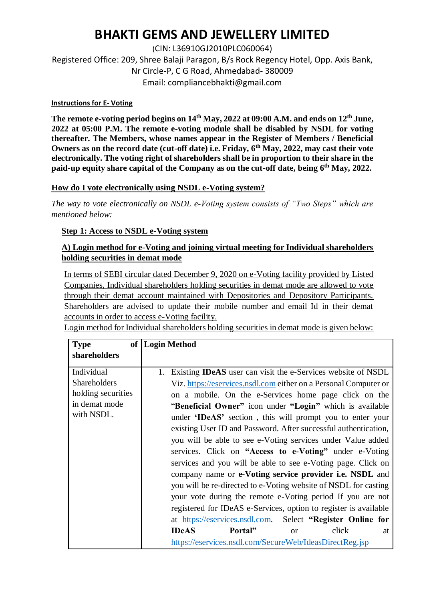(CIN: L36910GJ2010PLC060064) Registered Office: 209, Shree Balaji Paragon, B/s Rock Regency Hotel, Opp. Axis Bank, Nr Circle-P, C G Road, Ahmedabad- 380009 Email: compliancebhakti@gmail.com

### **Instructions for E- Voting**

**The remote e-voting period begins on 14th May, 2022 at 09:00 A.M. and ends on 12th June, 2022 at 05:00 P.M. The remote e-voting module shall be disabled by NSDL for voting thereafter. The Members, whose names appear in the Register of Members / Beneficial Owners as on the record date (cut-off date) i.e. Friday, 6th May, 2022, may cast their vote electronically. The voting right of shareholders shall be in proportion to their share in the paid-up equity share capital of the Company as on the cut-off date, being 6 th May, 2022.**

### **How do I vote electronically using NSDL e-Voting system?**

*The way to vote electronically on NSDL e-Voting system consists of "Two Steps" which are mentioned below:*

## **Step 1: Access to NSDL e-Voting system**

## **A) Login method for e-Voting and joining virtual meeting for Individual shareholders holding securities in demat mode**

In terms of SEBI circular dated December 9, 2020 on e-Voting facility provided by Listed Companies, Individual shareholders holding securities in demat mode are allowed to vote through their demat account maintained with Depositories and Depository Participants. Shareholders are advised to update their mobile number and email Id in their demat accounts in order to access e-Voting facility.

Login method for Individual shareholders holding securities in demat mode is given below:

| <b>Type</b><br>of                                                               | <b>Login Method</b>                                                                                                                                                                                                                                                                                                                                                                                                                                                                                                                                                                                                                                                                                                                                                                                                                                                                                                                                                                                                                     |
|---------------------------------------------------------------------------------|-----------------------------------------------------------------------------------------------------------------------------------------------------------------------------------------------------------------------------------------------------------------------------------------------------------------------------------------------------------------------------------------------------------------------------------------------------------------------------------------------------------------------------------------------------------------------------------------------------------------------------------------------------------------------------------------------------------------------------------------------------------------------------------------------------------------------------------------------------------------------------------------------------------------------------------------------------------------------------------------------------------------------------------------|
| shareholders                                                                    |                                                                                                                                                                                                                                                                                                                                                                                                                                                                                                                                                                                                                                                                                                                                                                                                                                                                                                                                                                                                                                         |
| Individual<br>Shareholders<br>holding securities<br>in demat mode<br>with NSDL. | 1. Existing <b>IDeAS</b> user can visit the e-Services website of NSDL<br>Viz. https://eservices.nsdl.com either on a Personal Computer or<br>on a mobile. On the e-Services home page click on the<br>"Beneficial Owner" icon under "Login" which is available<br>under 'IDeAS' section, this will prompt you to enter your<br>existing User ID and Password. After successful authentication,<br>you will be able to see e-Voting services under Value added<br>services. Click on "Access to e-Voting" under e-Voting<br>services and you will be able to see e-Voting page. Click on<br>company name or e-Voting service provider i.e. NSDL and<br>you will be re-directed to e-Voting website of NSDL for casting<br>your vote during the remote e-Voting period If you are not<br>registered for IDeAS e-Services, option to register is available<br>at https://eservices.nsdl.com. Select "Register Online for<br>click<br><b>IDeAS</b><br>Portal"<br>at<br>$\alpha$<br>https://eservices.nsdl.com/SecureWeb/IdeasDirectReg.jsp |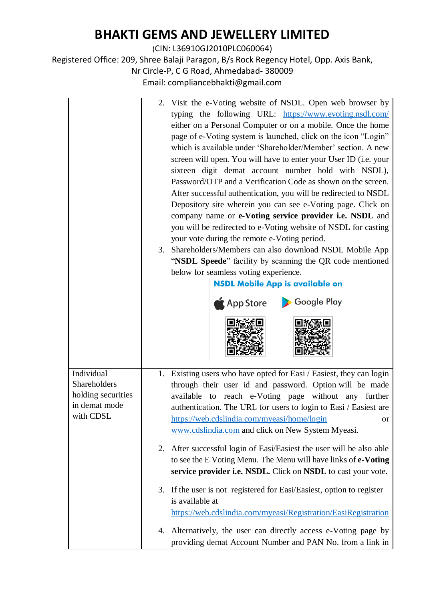(CIN: L36910GJ2010PLC060064)

Registered Office: 209, Shree Balaji Paragon, B/s Rock Regency Hotel, Opp. Axis Bank,

Nr Circle-P, C G Road, Ahmedabad- 380009

Email: compliancebhakti@gmail.com

|                            |    | 2. Visit the e-Voting website of NSDL. Open web browser by<br>typing the following URL: https://www.evoting.nsdl.com/<br>either on a Personal Computer or on a mobile. Once the home<br>page of e-Voting system is launched, click on the icon "Login"<br>which is available under 'Shareholder/Member' section. A new<br>screen will open. You will have to enter your User ID (i.e. your<br>sixteen digit demat account number hold with NSDL),<br>Password/OTP and a Verification Code as shown on the screen.<br>After successful authentication, you will be redirected to NSDL<br>Depository site wherein you can see e-Voting page. Click on<br>company name or e-Voting service provider i.e. NSDL and<br>you will be redirected to e-Voting website of NSDL for casting<br>your vote during the remote e-Voting period.<br>3. Shareholders/Members can also download NSDL Mobile App<br>"NSDL Speede" facility by scanning the QR code mentioned<br>below for seamless voting experience.<br><b>NSDL Mobile App is available on</b><br>Google Play<br>App Store |  |  |
|----------------------------|----|--------------------------------------------------------------------------------------------------------------------------------------------------------------------------------------------------------------------------------------------------------------------------------------------------------------------------------------------------------------------------------------------------------------------------------------------------------------------------------------------------------------------------------------------------------------------------------------------------------------------------------------------------------------------------------------------------------------------------------------------------------------------------------------------------------------------------------------------------------------------------------------------------------------------------------------------------------------------------------------------------------------------------------------------------------------------------|--|--|
| Individual<br>Shareholders |    | 1. Existing users who have opted for Easi / Easiest, they can login                                                                                                                                                                                                                                                                                                                                                                                                                                                                                                                                                                                                                                                                                                                                                                                                                                                                                                                                                                                                      |  |  |
| holding securities         |    | through their user id and password. Option will be made<br>available to reach e-Voting page without any further                                                                                                                                                                                                                                                                                                                                                                                                                                                                                                                                                                                                                                                                                                                                                                                                                                                                                                                                                          |  |  |
| in demat mode<br>with CDSL |    | authentication. The URL for users to login to Easi / Easiest are                                                                                                                                                                                                                                                                                                                                                                                                                                                                                                                                                                                                                                                                                                                                                                                                                                                                                                                                                                                                         |  |  |
|                            |    | https://web.cdslindia.com/myeasi/home/login<br>or<br>www.cdslindia.com and click on New System Myeasi.                                                                                                                                                                                                                                                                                                                                                                                                                                                                                                                                                                                                                                                                                                                                                                                                                                                                                                                                                                   |  |  |
|                            |    | 2. After successful login of Easi/Easiest the user will be also able                                                                                                                                                                                                                                                                                                                                                                                                                                                                                                                                                                                                                                                                                                                                                                                                                                                                                                                                                                                                     |  |  |
|                            |    | to see the E Voting Menu. The Menu will have links of e-Voting<br>service provider i.e. NSDL. Click on NSDL to cast your vote.                                                                                                                                                                                                                                                                                                                                                                                                                                                                                                                                                                                                                                                                                                                                                                                                                                                                                                                                           |  |  |
|                            |    | 3. If the user is not registered for Easi/Easiest, option to register                                                                                                                                                                                                                                                                                                                                                                                                                                                                                                                                                                                                                                                                                                                                                                                                                                                                                                                                                                                                    |  |  |
|                            |    | is available at<br>https://web.cdslindia.com/myeasi/Registration/EasiRegistration                                                                                                                                                                                                                                                                                                                                                                                                                                                                                                                                                                                                                                                                                                                                                                                                                                                                                                                                                                                        |  |  |
|                            | 4. | Alternatively, the user can directly access e-Voting page by<br>providing demat Account Number and PAN No. from a link in                                                                                                                                                                                                                                                                                                                                                                                                                                                                                                                                                                                                                                                                                                                                                                                                                                                                                                                                                |  |  |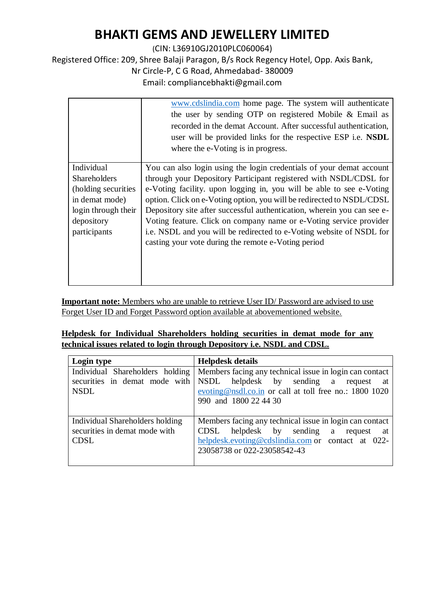(CIN: L36910GJ2010PLC060064) Registered Office: 209, Shree Balaji Paragon, B/s Rock Regency Hotel, Opp. Axis Bank, Nr Circle-P, C G Road, Ahmedabad- 380009 Email: compliancebhakti@gmail.com

|                                   | www.cdslindia.com home page. The system will authenticate<br>the user by sending OTP on registered Mobile & Email as<br>recorded in the demat Account. After successful authentication,<br>user will be provided links for the respective ESP i.e. NSDL<br>where the e-Voting is in progress. |
|-----------------------------------|-----------------------------------------------------------------------------------------------------------------------------------------------------------------------------------------------------------------------------------------------------------------------------------------------|
| Individual<br>Shareholders        | You can also login using the login credentials of your demat account<br>through your Depository Participant registered with NSDL/CDSL for                                                                                                                                                     |
|                                   |                                                                                                                                                                                                                                                                                               |
| (holding securities)              | e-Voting facility. upon logging in, you will be able to see e-Voting                                                                                                                                                                                                                          |
| in demat mode)                    | option. Click on e-Voting option, you will be redirected to NSDL/CDSL                                                                                                                                                                                                                         |
|                                   |                                                                                                                                                                                                                                                                                               |
|                                   |                                                                                                                                                                                                                                                                                               |
| participants                      | i.e. NSDL and you will be redirected to e-Voting website of NSDL for                                                                                                                                                                                                                          |
|                                   | casting your vote during the remote e-Voting period                                                                                                                                                                                                                                           |
|                                   |                                                                                                                                                                                                                                                                                               |
|                                   |                                                                                                                                                                                                                                                                                               |
|                                   |                                                                                                                                                                                                                                                                                               |
| login through their<br>depository | Depository site after successful authentication, wherein you can see e-<br>Voting feature. Click on company name or e-Voting service provider                                                                                                                                                 |

**Important note:** Members who are unable to retrieve User ID/ Password are advised to use Forget User ID and Forget Password option available at abovementioned website.

**Helpdesk for Individual Shareholders holding securities in demat mode for any technical issues related to login through Depository i.e. NSDL and CDSL.**

| Login type                                                                      | <b>Helpdesk details</b>                                                                                                                                                                   |
|---------------------------------------------------------------------------------|-------------------------------------------------------------------------------------------------------------------------------------------------------------------------------------------|
| Individual Shareholders holding<br>securities in demat mode with<br><b>NSDL</b> | Members facing any technical issue in login can contact<br>NSDL helpdesk by sending a request<br>at<br>evoting@nsdl.co.in or call at toll free no.: 1800 1020<br>990 and 1800 22 44 30    |
| Individual Shareholders holding<br>securities in demat mode with<br><b>CDSL</b> | Members facing any technical issue in login can contact<br>CDSL helpdesk by sending a request<br>- at<br>helpdesk.evoting@cdslindia.com or contact at 022-<br>23058738 or 022-23058542-43 |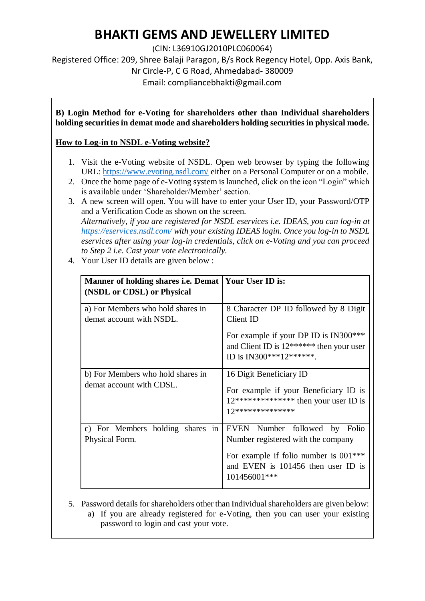(CIN: L36910GJ2010PLC060064)

Registered Office: 209, Shree Balaji Paragon, B/s Rock Regency Hotel, Opp. Axis Bank, Nr Circle-P, C G Road, Ahmedabad- 380009

Email: compliancebhakti@gmail.com

**B) Login Method for e-Voting for shareholders other than Individual shareholders holding securities in demat mode and shareholders holding securities in physical mode.**

**How to Log-in to NSDL e-Voting website?**

- 1. Visit the e-Voting website of NSDL. Open web browser by typing the following URL:<https://www.evoting.nsdl.com/> either on a Personal Computer or on a mobile.
- 2. Once the home page of e-Voting system is launched, click on the icon "Login" which is available under 'Shareholder/Member' section.
- 3. A new screen will open. You will have to enter your User ID, your Password/OTP and a Verification Code as shown on the screen. *Alternatively, if you are registered for NSDL eservices i.e. IDEAS, you can log-in at <https://eservices.nsdl.com/> with your existing IDEAS login. Once you log-in to NSDL eservices after using your log-in credentials, click on e-Voting and you can proceed to Step 2 i.e. Cast your vote electronically.*
- 4. Your User ID details are given below :

| Manner of holding shares i.e. Demat   Your User ID is:<br>(NSDL or CDSL) or Physical |                                                                                                               |
|--------------------------------------------------------------------------------------|---------------------------------------------------------------------------------------------------------------|
| a) For Members who hold shares in<br>demat account with NSDL.                        | 8 Character DP ID followed by 8 Digit<br>Client ID                                                            |
|                                                                                      | For example if your DP ID is IN300***<br>and Client ID is $12*****$ then your user<br>ID is IN300***12******. |
| b) For Members who hold shares in                                                    | 16 Digit Beneficiary ID                                                                                       |
| demat account with CDSL.                                                             | For example if your Beneficiary ID is<br>12************** then your user ID is<br>17**************            |
| c) For Members holding shares in<br>Physical Form.                                   | EVEN Number followed by<br>Folio<br>Number registered with the company                                        |
|                                                                                      | For example if folio number is $001***$<br>and EVEN is 101456 then user ID is<br>101456001***                 |

5. Password details for shareholders other than Individual shareholders are given below: a) If you are already registered for e-Voting, then you can user your existing password to login and cast your vote.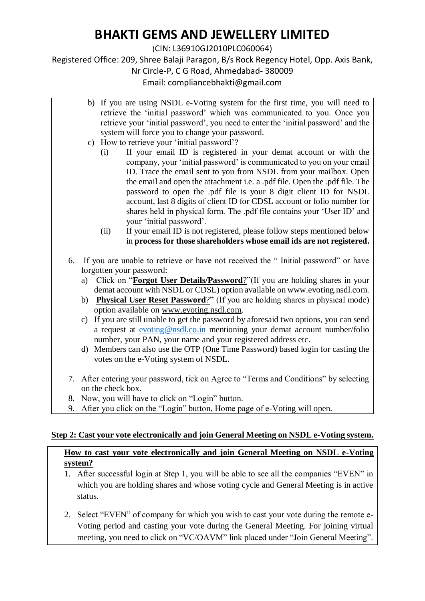(CIN: L36910GJ2010PLC060064)

Registered Office: 209, Shree Balaji Paragon, B/s Rock Regency Hotel, Opp. Axis Bank,

Nr Circle-P, C G Road, Ahmedabad- 380009

Email: compliancebhakti@gmail.com

- b) If you are using NSDL e-Voting system for the first time, you will need to retrieve the 'initial password' which was communicated to you. Once you retrieve your 'initial password', you need to enter the 'initial password' and the system will force you to change your password.
- c) How to retrieve your 'initial password'?
	- (i) If your email ID is registered in your demat account or with the company, your 'initial password' is communicated to you on your email ID. Trace the email sent to you from NSDL from your mailbox. Open the email and open the attachment i.e. a .pdf file. Open the .pdf file. The password to open the .pdf file is your 8 digit client ID for NSDL account, last 8 digits of client ID for CDSL account or folio number for shares held in physical form. The .pdf file contains your 'User ID' and your 'initial password'.
	- (ii) If your email ID is not registered, please follow steps mentioned below in **process for those shareholders whose email ids are not registered.**
- 6. If you are unable to retrieve or have not received the " Initial password" or have forgotten your password:
	- a) Click on "**[Forgot User Details/Password](https://www.evoting.nsdl.com/eVotingWeb/commonhtmls/NewUser.jsp)**?"(If you are holding shares in your demat account with NSDL or CDSL) option available on www.evoting.nsdl.com.
	- b) **[Physical User Reset Password](https://www.evoting.nsdl.com/eVotingWeb/commonhtmls/PhysicalUser.jsp)**?" (If you are holding shares in physical mode) option available on [www.evoting.nsdl.com.](http://www.evoting.nsdl.com/)
	- c) If you are still unable to get the password by aforesaid two options, you can send a request at [evoting@nsdl.co.in](mailto:evoting@nsdl.co.in) mentioning your demat account number/folio number, your PAN, your name and your registered address etc.
	- d) Members can also use the OTP (One Time Password) based login for casting the votes on the e-Voting system of NSDL.
- 7. After entering your password, tick on Agree to "Terms and Conditions" by selecting on the check box.
- 8. Now, you will have to click on "Login" button.
- 9. After you click on the "Login" button, Home page of e-Voting will open.

## **Step 2: Cast your vote electronically and join General Meeting on NSDL e-Voting system.**

**How to cast your vote electronically and join General Meeting on NSDL e-Voting system?**

- 1. After successful login at Step 1, you will be able to see all the companies "EVEN" in which you are holding shares and whose voting cycle and General Meeting is in active status.
- 2. Select "EVEN" of company for which you wish to cast your vote during the remote e-Voting period and casting your vote during the General Meeting. For joining virtual meeting, you need to click on "VC/OAVM" link placed under "Join General Meeting".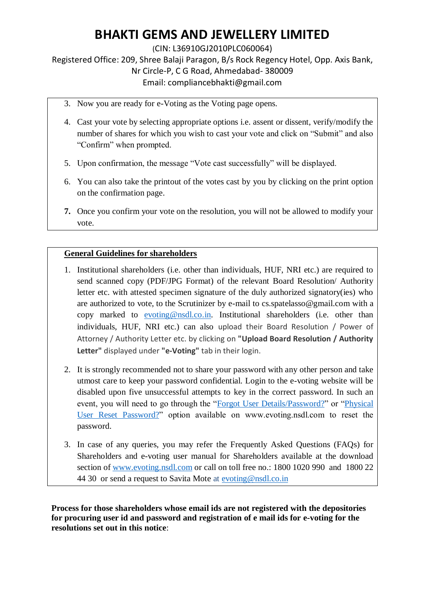(CIN: L36910GJ2010PLC060064)

Registered Office: 209, Shree Balaji Paragon, B/s Rock Regency Hotel, Opp. Axis Bank, Nr Circle-P, C G Road, Ahmedabad- 380009 Email: compliancebhakti@gmail.com

- 3. Now you are ready for e-Voting as the Voting page opens.
- 4. Cast your vote by selecting appropriate options i.e. assent or dissent, verify/modify the number of shares for which you wish to cast your vote and click on "Submit" and also "Confirm" when prompted.
- 5. Upon confirmation, the message "Vote cast successfully" will be displayed.
- 6. You can also take the printout of the votes cast by you by clicking on the print option on the confirmation page.
- **7.** Once you confirm your vote on the resolution, you will not be allowed to modify your vote.

## **General Guidelines for shareholders**

- 1. Institutional shareholders (i.e. other than individuals, HUF, NRI etc.) are required to send scanned copy (PDF/JPG Format) of the relevant Board Resolution/ Authority letter etc. with attested specimen signature of the duly authorized signatory(ies) who are authorized to vote, to the Scrutinizer by e-mail to cs.spatelasso@gmail.com with a copy marked to [evoting@nsdl.co.in.](mailto:evoting@nsdl.co.in) Institutional shareholders (i.e. other than individuals, HUF, NRI etc.) can also upload their Board Resolution / Power of Attorney / Authority Letter etc. by clicking on **"Upload Board Resolution / Authority Letter"** displayed under **"e-Voting"** tab in their login.
- 2. It is strongly recommended not to share your password with any other person and take utmost care to keep your password confidential. Login to the e-voting website will be disabled upon five unsuccessful attempts to key in the correct password. In such an event, you will need to go through the ["Forgot User Details/Password?"](https://www.evoting.nsdl.com/eVotingWeb/commonhtmls/NewUser.jsp) or ["Physical](https://www.evoting.nsdl.com/eVotingWeb/commonhtmls/PhysicalUser.jsp)  [User Reset Password?"](https://www.evoting.nsdl.com/eVotingWeb/commonhtmls/PhysicalUser.jsp) option available on www.evoting.nsdl.com to reset the password.
- 3. In case of any queries, you may refer the Frequently Asked Questions (FAQs) for Shareholders and e-voting user manual for Shareholders available at the download section of [www.evoting.nsdl.com](http://www.evoting.nsdl.com/) or call on toll free no.: 1800 1020 990 and 1800 22 44 30 or send a request to Savita Mote at [evoting@nsdl.co.in](mailto:evoting@nsdl.co.in)

**Process for those shareholders whose email ids are not registered with the depositories for procuring user id and password and registration of e mail ids for e-voting for the resolutions set out in this notice**: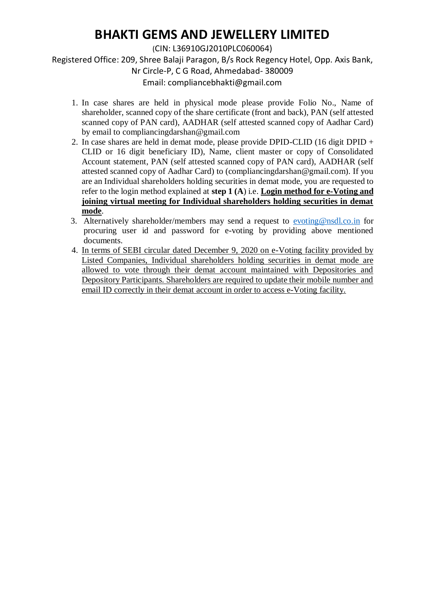(CIN: L36910GJ2010PLC060064)

Registered Office: 209, Shree Balaji Paragon, B/s Rock Regency Hotel, Opp. Axis Bank,

Nr Circle-P, C G Road, Ahmedabad- 380009

Email: compliancebhakti@gmail.com

- 1. In case shares are held in physical mode please provide Folio No., Name of shareholder, scanned copy of the share certificate (front and back), PAN (self attested scanned copy of PAN card), AADHAR (self attested scanned copy of Aadhar Card) by email to compliancingdarshan@gmail.com
- 2. In case shares are held in demat mode, please provide DPID-CLID (16 digit DPID + CLID or 16 digit beneficiary ID), Name, client master or copy of Consolidated Account statement, PAN (self attested scanned copy of PAN card), AADHAR (self attested scanned copy of Aadhar Card) to (compliancingdarshan@gmail.com). If you are an Individual shareholders holding securities in demat mode, you are requested to refer to the login method explained at **step 1 (A**) i.e. **Login method for e-Voting and joining virtual meeting for Individual shareholders holding securities in demat mode**.
- 3. Alternatively shareholder/members may send a request to [evoting@nsdl.co.in](mailto:evoting@nsdl.co.in) for procuring user id and password for e-voting by providing above mentioned documents.
- 4. In terms of SEBI circular dated December 9, 2020 on e-Voting facility provided by Listed Companies, Individual shareholders holding securities in demat mode are allowed to vote through their demat account maintained with Depositories and Depository Participants. Shareholders are required to update their mobile number and email ID correctly in their demat account in order to access e-Voting facility.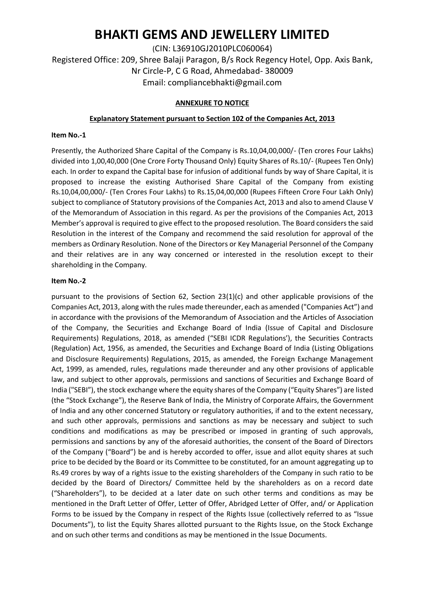(CIN: L36910GJ2010PLC060064) Registered Office: 209, Shree Balaji Paragon, B/s Rock Regency Hotel, Opp. Axis Bank, Nr Circle-P, C G Road, Ahmedabad- 380009 Email: compliancebhakti@gmail.com

### **ANNEXURE TO NOTICE**

#### **Explanatory Statement pursuant to Section 102 of the Companies Act, 2013**

#### **Item No.-1**

Presently, the Authorized Share Capital of the Company is Rs.10,04,00,000/- (Ten crores Four Lakhs) divided into 1,00,40,000 (One Crore Forty Thousand Only) Equity Shares of Rs.10/- (Rupees Ten Only) each. In order to expand the Capital base for infusion of additional funds by way of Share Capital, it is proposed to increase the existing Authorised Share Capital of the Company from existing Rs.10,04,00,000/- (Ten Crores Four Lakhs) to Rs.15,04,00,000 (Rupees Fifteen Crore Four Lakh Only) subject to compliance of Statutory provisions of the Companies Act, 2013 and also to amend Clause V of the Memorandum of Association in this regard. As per the provisions of the Companies Act, 2013 Member's approval is required to give effect to the proposed resolution. The Board considers the said Resolution in the interest of the Company and recommend the said resolution for approval of the members as Ordinary Resolution. None of the Directors or Key Managerial Personnel of the Company and their relatives are in any way concerned or interested in the resolution except to their shareholding in the Company.

### **Item No.-2**

pursuant to the provisions of Section 62, Section 23(1)(c) and other applicable provisions of the Companies Act, 2013, along with the rules made thereunder, each as amended ("Companies Act") and in accordance with the provisions of the Memorandum of Association and the Articles of Association of the Company, the Securities and Exchange Board of India (Issue of Capital and Disclosure Requirements) Regulations, 2018, as amended ("SEBI ICDR Regulations'), the Securities Contracts (Regulation) Act, 1956, as amended, the Securities and Exchange Board of India (Listing Obligations and Disclosure Requirements) Regulations, 2015, as amended, the Foreign Exchange Management Act, 1999, as amended, rules, regulations made thereunder and any other provisions of applicable law, and subject to other approvals, permissions and sanctions of Securities and Exchange Board of India ("SEBI"), the stock exchange where the equity shares of the Company ("Equity Shares") are listed (the "Stock Exchange"), the Reserve Bank of India, the Ministry of Corporate Affairs, the Government of India and any other concerned Statutory or regulatory authorities, if and to the extent necessary, and such other approvals, permissions and sanctions as may be necessary and subject to such conditions and modifications as may be prescribed or imposed in granting of such approvals, permissions and sanctions by any of the aforesaid authorities, the consent of the Board of Directors of the Company ("Board") be and is hereby accorded to offer, issue and allot equity shares at such price to be decided by the Board or its Committee to be constituted, for an amount aggregating up to Rs.49 crores by way of a rights issue to the existing shareholders of the Company in such ratio to be decided by the Board of Directors/ Committee held by the shareholders as on a record date ("Shareholders"), to be decided at a later date on such other terms and conditions as may be mentioned in the Draft Letter of Offer, Letter of Offer, Abridged Letter of Offer, and/ or Application Forms to be issued by the Company in respect of the Rights Issue (collectively referred to as "Issue Documents"), to list the Equity Shares allotted pursuant to the Rights Issue, on the Stock Exchange and on such other terms and conditions as may be mentioned in the Issue Documents.